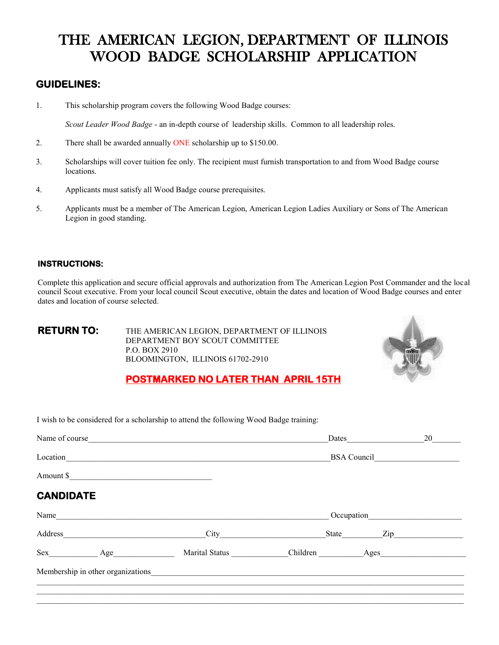### THE AMERICAN LEGION, DEPARTMENT OF ILLINOIS WOOD BADGE SCHOLARSHIP APPLICATION

### **GUIDELINES:**

1. This scholarship program covers the following Wood Badge courses:

*Scout Leader Wood Badge* - an in-depth course of leadership skills. Common to all leadership roles.

- 2. There shall be awarded annually ONE scholarship up to \$150.00.
- 3. Scholarships will cover tuition fee only. The recipient must furnish transportation to and from Wood Badge course locations.
- 4. Applicants must satisfy all Wood Badge course prerequisites.
- 5. Applicants must be a member of The American Legion, American Legion Ladies Auxiliary or Sons of The American Legion in good standing.

### **INSTRUCTIONS:**

Complete this application and secure official approvals and authorization from The American Legion Post Commander and the local council Scout executive. From your local council Scout executive, obtain the dates and location of Wood Badge courses and enter dates and location of course selected.

**RETURN TO:** THE AMERICAN LEGION, DEPARTMENT OF ILLINOIS DEPARTMENT BOY SCOUT COMMITTEE P.O. BOX 2910 BLOOMINGTON, ILLINOIS 61702-2910



### **POSTMARKED NO LATER THAN APRIL 15TH**

I wish to be considered for a scholarship to attend the following Wood Badge training:

| Name of course   |             |                                                                                                                                                                                                                               |                              | <b>Dates</b>                                                                                                                                                                                                                   | 20 |  |
|------------------|-------------|-------------------------------------------------------------------------------------------------------------------------------------------------------------------------------------------------------------------------------|------------------------------|--------------------------------------------------------------------------------------------------------------------------------------------------------------------------------------------------------------------------------|----|--|
|                  |             | Location <b>Executive Location</b>                                                                                                                                                                                            | BSA Council                  |                                                                                                                                                                                                                                |    |  |
|                  | Amount \$   |                                                                                                                                                                                                                               |                              |                                                                                                                                                                                                                                |    |  |
| <b>CANDIDATE</b> |             |                                                                                                                                                                                                                               |                              |                                                                                                                                                                                                                                |    |  |
| Name             |             |                                                                                                                                                                                                                               | Occupation                   |                                                                                                                                                                                                                                |    |  |
|                  |             |                                                                                                                                                                                                                               | State                        | Zip and the same state of the state of the state of the state of the state of the state of the state of the state of the state of the state of the state of the state of the state of the state of the state of the state of t |    |  |
|                  | $Sex$ $Age$ |                                                                                                                                                                                                                               | Marital Status Children Ages |                                                                                                                                                                                                                                |    |  |
|                  |             | Membership in other organizations experience and the state of the state of the state of the state of the state of the state of the state of the state of the state of the state of the state of the state of the state of the |                              |                                                                                                                                                                                                                                |    |  |
|                  |             |                                                                                                                                                                                                                               |                              |                                                                                                                                                                                                                                |    |  |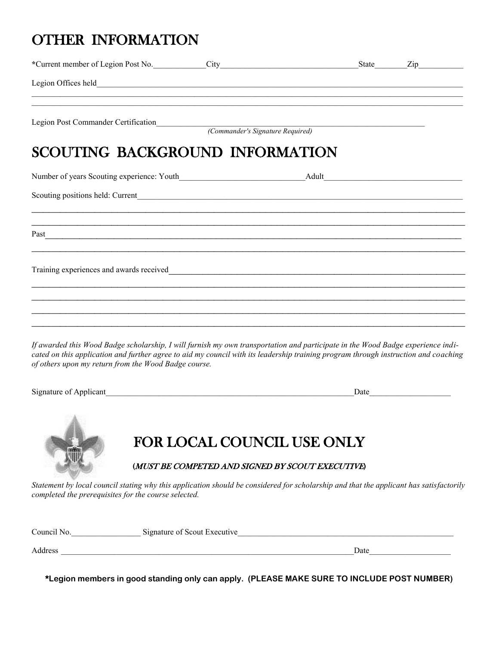## OTHER INFORMATION

| Legion Offices held_ <b>matter and</b>                                                                                                                                                                                                                                 |                           |                                                                                   |  |
|------------------------------------------------------------------------------------------------------------------------------------------------------------------------------------------------------------------------------------------------------------------------|---------------------------|-----------------------------------------------------------------------------------|--|
|                                                                                                                                                                                                                                                                        |                           |                                                                                   |  |
| SCOUTING BACKGROUND INFORMATION                                                                                                                                                                                                                                        |                           |                                                                                   |  |
|                                                                                                                                                                                                                                                                        |                           |                                                                                   |  |
|                                                                                                                                                                                                                                                                        |                           |                                                                                   |  |
|                                                                                                                                                                                                                                                                        |                           | ,我们也不能在这里的时候,我们也不能在这里的时候,我们也不能不能不能不能不能不能不能不能不能不能不能不能不能不能。""我们,我们也不能不能不能不能不能不能不能不  |  |
| Training experiences and awards received<br>Training experiences and awards received                                                                                                                                                                                   |                           | ,我们也不能在这里的人,我们也不能在这里的人,我们也不能在这里的人,我们也不能在这里的人,我们也不能在这里的人,我们也不能在这里的人,我们也不能在这里的人,我们也 |  |
| If awarded this Wood Badge scholarship, I will furnish my own transportation and participate in the Wood Badge experience indi-<br>cated on this application and further agree to aid my council with its leadership training program through instruction and coaching |                           |                                                                                   |  |
| of others upon my return from the Wood Badge course.                                                                                                                                                                                                                   |                           |                                                                                   |  |
| Signature of Applicant<br><u>Signature of Applicant</u>                                                                                                                                                                                                                |                           |                                                                                   |  |
|                                                                                                                                                                                                                                                                        |                           | FOR LOCAL COUNCIL USE ONLY<br>(MUST BE COMPETED AND SIGNED BY SCOUT EXECUTIVE)    |  |
| Statement by local council stating why this application should be considered for scholarship and that the applicant has satisfactorily<br>completed the prerequisites for the course selected.                                                                         |                           |                                                                                   |  |
| $\sim$                                                                                                                                                                                                                                                                 | oture of Coaut Exposition |                                                                                   |  |

| Council No. | Signature of Scout Executive |      |  |
|-------------|------------------------------|------|--|
| Address     |                              | Date |  |

**\*Legion members in good standing only can apply. (PLEASE MAKE SURE TO INCLUDE POST NUMBER)**